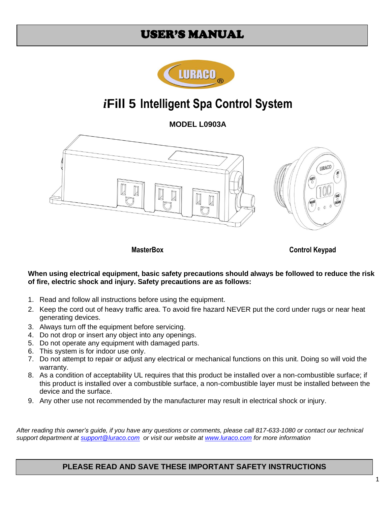## USER'S MANUAL



# *i***Fill 5 Intelligent Spa Control System**

**MODEL L0903A**



**MasterBox** Control Keypad

**When using electrical equipment, basic safety precautions should always be followed to reduce the risk of fire, electric shock and injury. Safety precautions are as follows:** 

- 1. Read and follow all instructions before using the equipment.
- 2. Keep the cord out of heavy traffic area. To avoid fire hazard NEVER put the cord under rugs or near heat generating devices.
- 3. Always turn off the equipment before servicing.
- 4. Do not drop or insert any object into any openings.
- 5. Do not operate any equipment with damaged parts.
- 6. This system is for indoor use only.
- 7. Do not attempt to repair or adjust any electrical or mechanical functions on this unit. Doing so will void the warranty.
- 8. As a condition of acceptability UL requires that this product be installed over a non-combustible surface; if this product is installed over a combustible surface, a non-combustible layer must be installed between the device and the surface.
- 9. Any other use not recommended by the manufacturer may result in electrical shock or injury.

*After reading this owner's guide, if you have any questions or comments, please call 817-633-1080 or contact our technical support department at [support@luraco.com](mailto:support@luraco.com) or visit our website at [www.luraco.com](http://www.luraco.com/) for more information*

### **PLEASE READ AND SAVE THESE IMPORTANT SAFETY INSTRUCTIONS**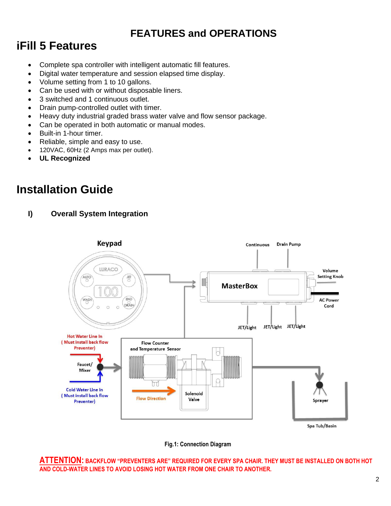## **FEATURES and OPERATIONS**

# **iFill 5 Features**

- Complete spa controller with intelligent automatic fill features.
- Digital water temperature and session elapsed time display.
- Volume setting from 1 to 10 gallons.
- Can be used with or without disposable liners.
- 3 switched and 1 continuous outlet.
- Drain pump-controlled outlet with timer.
- Heavy duty industrial graded brass water valve and flow sensor package.
- Can be operated in both automatic or manual modes.
- Built-in 1-hour timer.
- Reliable, simple and easy to use.
- 120VAC, 60Hz (2 Amps max per outlet).
- **UL Recognized**

# **Installation Guide**

**I) Overall System Integration**



**Fig.1: Connection Diagram**

**ATTENTION: BACKFLOW "PREVENTERS ARE" REQUIRED FOR EVERY SPA CHAIR. THEY MUST BE INSTALLED ON BOTH HOT AND COLD-WATER LINES TO AVOID LOSING HOT WATER FROM ONE CHAIR TO ANOTHER.**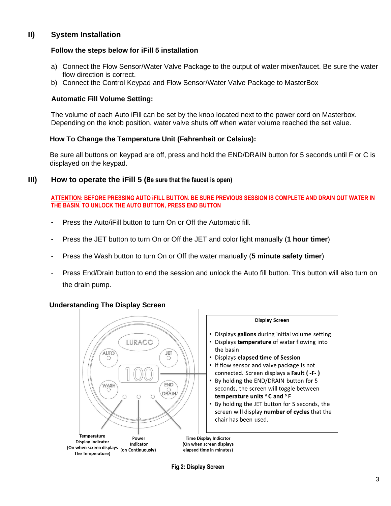### **II) System Installation**

#### **Follow the steps below for iFill 5 installation**

- a) Connect the Flow Sensor/Water Valve Package to the output of water mixer/faucet. Be sure the water flow direction is correct.
- b) Connect the Control Keypad and Flow Sensor/Water Valve Package to MasterBox

#### **Automatic Fill Volume Setting:**

The volume of each Auto iFill can be set by the knob located next to the power cord on Masterbox. Depending on the knob position, water valve shuts off when water volume reached the set value.

#### **How To Change the Temperature Unit (Fahrenheit or Celsius):**

Be sure all buttons on keypad are off, press and hold the END/DRAIN button for 5 seconds until F or C is displayed on the keypad.

#### **III) How to operate the iFill 5 (Be sure that the faucet is open)**

#### **ATTENTION: BEFORE PRESSING AUTO iFILL BUTTON. BE SURE PREVIOUS SESSION IS COMPLETE AND DRAIN OUT WATER IN THE BASIN. TO UNLOCK THE AUTO BUTTON, PRESS END BUTTON**

- Press the Auto/iFill button to turn On or Off the Automatic fill.
- Press the JET button to turn On or Off the JET and color light manually (**1 hour timer**)
- Press the Wash button to turn On or Off the water manually (**5 minute safety timer**)
- Press End/Drain button to end the session and unlock the Auto fill button. This button will also turn on the drain pump.

#### **Understanding The Display Screen**



#### **Display Screen**

- Displays gallons during initial volume setting
- Displays temperature of water flowing into the basin
- Displays elapsed time of Session
- If flow sensor and valve package is not connected. Screen displays a Fault (-F-)
- By holding the END/DRAIN button for 5 seconds, the screen will toggle between temperature units °C and °F
- By holding the JET button for 5 seconds, the screen will display number of cycles that the chair has been used.

**Time Display Indicator** (On when screen displays elapsed time in minutes)

**Fig.2: Display Screen**